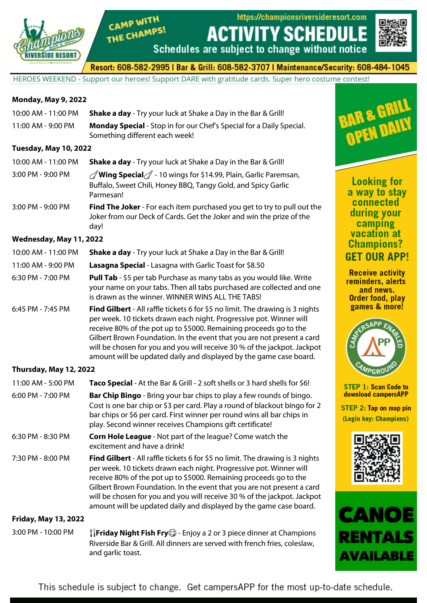

https://championsriversideresort.com

**ACTIVITY SCHEDU** 



Resort: 608-582-2995 | Bar & Grill: 608-582-3707 | Maintenance/Security: 608-484-1045

Schedules are subject to change without notice

HEROES WEEKEND - Support our heroes! Support DARE with gratitude cards. Super hero costume contest!

### **Monday, May 9, 2022**

| 10:00 AM - 11:00 PM          | <b>Shake a day</b> - Try your luck at Shake a Day in the Bar & Grill!                                         |
|------------------------------|---------------------------------------------------------------------------------------------------------------|
| 11:00 AM - 9:00 PM           | <b>Monday Special</b> - Stop in for our Chef's Special for a Daily Special.<br>Something different each week! |
| $T_{i:raday}$ , May 10, 2022 |                                                                                                               |

#### **Tuesday, May 10, 2022**

10:00 AM - 11:00 PM **Shake a day** - Try your luck at Shake a Day in the Bar & Grill!

CAMP WITH

THE CHAMPS!

| 3:00 PM - 9:00 PM | <b><i>/</i>/</b> Wing Special $\mathcal{J}$ - 10 wings for \$14.99, Plain, Garlic Paremsan, |
|-------------------|---------------------------------------------------------------------------------------------|
|                   | Buffalo, Sweet Chili, Honey BBQ, Tangy Gold, and Spicy Garlic                               |
|                   | Parmesan!                                                                                   |

#### 3:00 PM - 9:00 PM **Find The Joker** - For each item purchased you get to try to pull out the Joker from our Deck of Cards. Get the Joker and win the prize of the day!

#### **Wednesday, May 11, 2022**

| 10:00 AM - 11:00 PM | <b>Shake a day</b> - Try your luck at Shake a Day in the Bar & Grill!                                                                                                                                                                                                                                                                                                                                                                                        |
|---------------------|--------------------------------------------------------------------------------------------------------------------------------------------------------------------------------------------------------------------------------------------------------------------------------------------------------------------------------------------------------------------------------------------------------------------------------------------------------------|
| 11:00 AM - 9:00 PM  | Lasagna Special - Lasagna with Garlic Toast for \$8.50                                                                                                                                                                                                                                                                                                                                                                                                       |
| 6:30 PM - 7:00 PM   | Pull Tab - \$5 per tab Purchase as many tabs as you would like. Write<br>your name on your tabs. Then all tabs purchased are collected and one<br>is drawn as the winner. WINNER WINS ALL THE TABS!                                                                                                                                                                                                                                                          |
| 6:45 PM - 7:45 PM   | <b>Find Gilbert</b> - All raffle tickets 6 for \$5 no limit. The drawing is 3 nights<br>per week. 10 tickets drawn each night. Progressive pot. Winner will<br>receive 80% of the pot up to \$5000. Remaining proceeds go to the<br>Gilbert Brown Foundation. In the event that you are not present a card<br>will be chosen for you and you will receive 30 % of the jackpot. Jackpot<br>amount will be updated daily and displayed by the game case board. |

## **Thursday, May 12, 2022**

| 11:00 AM - 5:00 PM<br>$6:00$ PM - 7:00 PM | Taco Special - At the Bar & Grill - 2 soft shells or 3 hard shells for \$6!<br><b>Bar Chip Bingo</b> - Bring your bar chips to play a few rounds of bingo.<br>Cost is one bar chip or \$3 per card. Play a round of blackout bingo for 2<br>bar chips or \$6 per card. First winner per round wins all bar chips in<br>play. Second winner receives Champions gift certificate!                                                                              |
|-------------------------------------------|--------------------------------------------------------------------------------------------------------------------------------------------------------------------------------------------------------------------------------------------------------------------------------------------------------------------------------------------------------------------------------------------------------------------------------------------------------------|
| 6:30 PM - 8:30 PM                         | <b>Corn Hole League</b> - Not part of the league? Come watch the<br>excitement and have a drink!                                                                                                                                                                                                                                                                                                                                                             |
| 7:30 PM - 8:00 PM                         | <b>Find Gilbert</b> - All raffle tickets 6 for \$5 no limit. The drawing is 3 nights<br>per week. 10 tickets drawn each night. Progressive pot. Winner will<br>receive 80% of the pot up to \$5000. Remaining proceeds go to the<br>Gilbert Brown Foundation. In the event that you are not present a card<br>will be chosen for you and you will receive 30 % of the jackpot. Jackpot<br>amount will be updated daily and displayed by the game case board. |
| <b>Friday, May 13, 2022</b>               |                                                                                                                                                                                                                                                                                                                                                                                                                                                              |

3:00 PM - 10:00 PM  $\mathbb{I}$  **Friday Night Fish Fry**  $\odot$  - Enjoy a 2 or 3 piece dinner at Champions Riverside Bar & Grill. All dinners are served with french fries, coleslaw, and garlic toast.



**Looking for** a way to stay connected during your camping vacation at **Champions? GET OUR APP!** 

**Receive activity** reminders, alerts and news. Order food, play games & more!



**STEP 1: Scan Code to** download campersAPP

STEP 2: Tap on map pin (Login key: Champions)





This schedule is subject to change. Get campers APP for the most up-to-date schedule.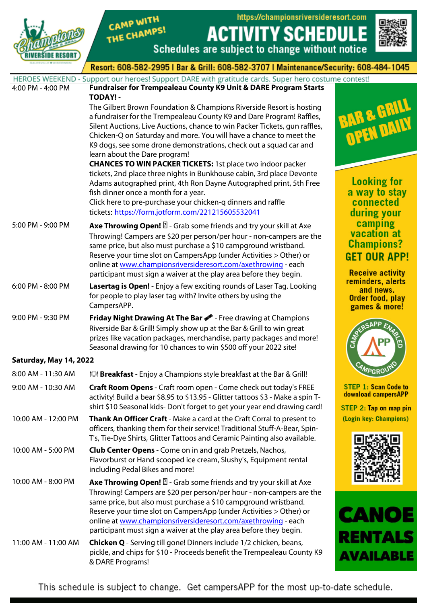

CAMP WITH THE CHAMPS!

https://championsriversideresort.com **ACTIVITY SCHEDUI** E



uladl

Resort: 608-582-2995 | Bar & Grill: 608-582-3707 | Maintenance/Security: 608-484-1045

Schedules are subject to change without notice

|                        | HEROES WEEKEND - Support our heroes! Support DARE with gratitude cards. Super hero costume contest! |                                                    |
|------------------------|-----------------------------------------------------------------------------------------------------|----------------------------------------------------|
| 4:00 PM - 4:00 PM      | Fundraiser for Trempealeau County K9 Unit & DARE Program Starts                                     |                                                    |
|                        | TODAY! -                                                                                            |                                                    |
|                        | The Gilbert Brown Foundation & Champions Riverside Resort is hosting                                | <b>BAR &amp; GRILL</b>                             |
|                        | a fundraiser for the Trempealeau County K9 and Dare Program! Raffles,                               |                                                    |
|                        | Silent Auctions, Live Auctions, chance to win Packer Tickets, gun raffles,                          |                                                    |
|                        | Chicken-Q on Saturday and more. You will have a chance to meet the                                  |                                                    |
|                        | K9 dogs, see some drone demonstrations, check out a squad car and                                   |                                                    |
|                        | learn about the Dare program!                                                                       |                                                    |
|                        | <b>CHANCES TO WIN PACKER TICKETS: 1st place two indoor packer</b>                                   |                                                    |
|                        | tickets, 2nd place three nights in Bunkhouse cabin, 3rd place Devonte                               |                                                    |
|                        | Adams autographed print, 4th Ron Dayne Autographed print, 5th Free                                  | <b>Looking for</b>                                 |
|                        | fish dinner once a month for a year.                                                                | a way to stay                                      |
|                        | Click here to pre-purchase your chicken-q dinners and raffle                                        | connected                                          |
|                        | tickets: https://form.jotform.com/221215605532041                                                   | during your                                        |
| 5:00 PM - 9:00 PM      | <b>Axe Throwing Open!</b> 2 - Grab some friends and try your skill at Axe                           | camping                                            |
|                        | Throwing! Campers are \$20 per person/per hour - non-campers are the                                | vacation at                                        |
|                        | same price, but also must purchase a \$10 campground wristband.                                     | <b>Champions?</b>                                  |
|                        | Reserve your time slot on CampersApp (under Activities > Other) or                                  | <b>GET OUR APP!</b>                                |
|                        | online at www.championsriversideresort.com/axethrowing - each                                       |                                                    |
|                        | participant must sign a waiver at the play area before they begin.                                  | <b>Receive activity</b>                            |
| 6:00 PM - 8:00 PM      | Lasertag is Open! - Enjoy a few exciting rounds of Laser Tag. Looking                               | reminders, alerts<br>and news.                     |
|                        | for people to play laser tag with? Invite others by using the                                       | Order food, play                                   |
|                        | CampersAPP.                                                                                         | games & more!                                      |
| 9:00 PM - 9:30 PM      | Friday Night Drawing At The Bar <b>8</b> - Free drawing at Champions                                |                                                    |
|                        | Riverside Bar & Grill! Simply show up at the Bar & Grill to win great                               |                                                    |
|                        | prizes like vacation packages, merchandise, party packages and more!                                |                                                    |
|                        | Seasonal drawing for 10 chances to win \$500 off your 2022 site!                                    |                                                    |
| Saturday, May 14, 2022 |                                                                                                     |                                                    |
|                        |                                                                                                     |                                                    |
| 8:00 AM - 11:30 AM     | * <sup>1</sup> Breakfast - Enjoy a Champions style breakfast at the Bar & Grill!                    |                                                    |
| 9:00 AM - 10:30 AM     | Craft Room Opens - Craft room open - Come check out today's FREE                                    | <b>STEP 1: Scan Code to</b><br>download campersAPP |
|                        | activity! Build a bear \$8.95 to \$13.95 - Glitter tattoos \$3 - Make a spin T-                     |                                                    |
|                        | shirt \$10 Seasonal kids-Don't forget to get your year end drawing card!                            | STEP 2: Tap on map pin                             |
| 10:00 AM - 12:00 PM    | Thank An Officer Craft - Make a card at the Craft Corral to present to                              | (Login key: Champions)                             |
|                        | officers, thanking them for their service! Traditional Stuff-A-Bear, Spin-                          |                                                    |
|                        | T's, Tie-Dye Shirts, Glitter Tattoos and Ceramic Painting also available.                           |                                                    |
| 10:00 AM - 5:00 PM     | <b>Club Center Opens</b> - Come on in and grab Pretzels, Nachos,                                    |                                                    |
|                        | Flavorburst or Hand scooped ice cream, Slushy's, Equipment rental                                   |                                                    |
|                        | including Pedal Bikes and more!                                                                     |                                                    |
| 10:00 AM - 8:00 PM     | <b>Axe Throwing Open! D</b> - Grab some friends and try your skill at Axe                           |                                                    |
|                        | Throwing! Campers are \$20 per person/per hour - non-campers are the                                |                                                    |
|                        | same price, but also must purchase a \$10 campground wristband.                                     |                                                    |
|                        | Reserve your time slot on CampersApp (under Activities > Other) or                                  |                                                    |
|                        | online at www.championsriversideresort.com/axethrowing - each                                       | CANOE                                              |
|                        | participant must sign a waiver at the play area before they begin.                                  |                                                    |
| 11:00 AM - 11:00 AM    | <b>Chicken Q</b> - Serving till gone! Dinners include 1/2 chicken, beans,                           | RENTALS                                            |
|                        | pickle, and chips for \$10 - Proceeds benefit the Trempealeau County K9                             |                                                    |

This schedule is subject to change. Get campersAPP for the most up-to-date schedule.

& DARE Programs!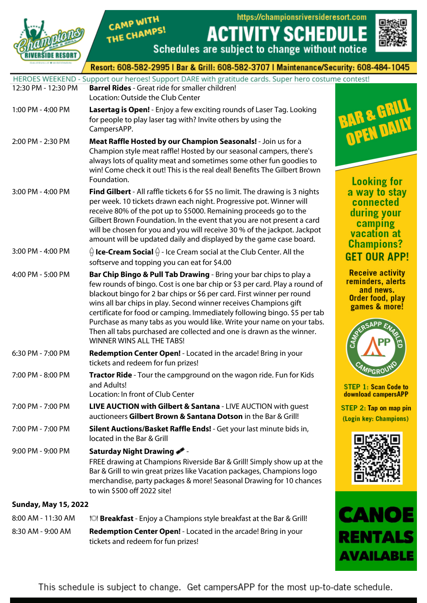

# CAMP WITH THE CHAMPS!

https://championsriversideresort.com



NTAL

**AVAILABLE** 

Е

EDIII

|                             | Schedules are subject to change without notice                                                                                                                                                                                                                                                                                                                                                                                                                                                                                                               | ⊟tra⊂z                                                                                         |
|-----------------------------|--------------------------------------------------------------------------------------------------------------------------------------------------------------------------------------------------------------------------------------------------------------------------------------------------------------------------------------------------------------------------------------------------------------------------------------------------------------------------------------------------------------------------------------------------------------|------------------------------------------------------------------------------------------------|
|                             | Resort: 608-582-2995   Bar & Grill: 608-582-3707   Maintenance/Security: 608-484-1045                                                                                                                                                                                                                                                                                                                                                                                                                                                                        |                                                                                                |
| 12:30 PM - 12:30 PM         | HEROES WEEKEND - Support our heroes! Support DARE with gratitude cards. Super hero costume contest!<br><b>Barrel Rides</b> - Great ride for smaller children!<br>Location: Outside the Club Center                                                                                                                                                                                                                                                                                                                                                           |                                                                                                |
| 1:00 PM - 4:00 PM           | Lasertag is Open! - Enjoy a few exciting rounds of Laser Tag. Looking<br>for people to play laser tag with? Invite others by using the<br>CampersAPP.                                                                                                                                                                                                                                                                                                                                                                                                        | <b>BAR &amp; GRILL</b>                                                                         |
| 2:00 PM - 2:30 PM           | Meat Raffle Hosted by our Champion Seasonals! - Join us for a<br>Champion style meat raffle! Hosted by our seasonal campers, there's<br>always lots of quality meat and sometimes some other fun goodies to<br>win! Come check it out! This is the real deal! Benefits The Gilbert Brown<br>Foundation.                                                                                                                                                                                                                                                      | <b>Looking for</b>                                                                             |
| 3:00 PM - 4:00 PM           | Find Gilbert - All raffle tickets 6 for \$5 no limit. The drawing is 3 nights<br>per week. 10 tickets drawn each night. Progressive pot. Winner will<br>receive 80% of the pot up to \$5000. Remaining proceeds go to the<br>Gilbert Brown Foundation. In the event that you are not present a card<br>will be chosen for you and you will receive 30 % of the jackpot. Jackpot<br>amount will be updated daily and displayed by the game case board.                                                                                                        | a way to stay<br>connected<br>during your<br>camping<br>vacation at<br><b>Champions?</b>       |
| 3:00 PM - 4:00 PM           | $\frac{\triangle}{\theta}$ Ice-Cream Social $\frac{\triangle}{\theta}$ - Ice Cream social at the Club Center. All the<br>softserve and topping you can eat for \$4.00                                                                                                                                                                                                                                                                                                                                                                                        | <b>GET OUR APP!</b>                                                                            |
| 4:00 PM - 5:00 PM           | Bar Chip Bingo & Pull Tab Drawing - Bring your bar chips to play a<br>few rounds of bingo. Cost is one bar chip or \$3 per card. Play a round of<br>blackout bingo for 2 bar chips or \$6 per card. First winner per round<br>wins all bar chips in play. Second winner receives Champions gift<br>certificate for food or camping. Immediately following bingo. \$5 per tab<br>Purchase as many tabs as you would like. Write your name on your tabs.<br>Then all tabs purchased are collected and one is drawn as the winner.<br>WINNER WINS ALL THE TABS! | <b>Receive activity</b><br>reminders, alerts<br>and news.<br>Order food, play<br>games & more! |
| 6:30 PM - 7:00 PM           | Redemption Center Open! - Located in the arcade! Bring in your<br>tickets and redeem for fun prizes!                                                                                                                                                                                                                                                                                                                                                                                                                                                         |                                                                                                |
| 7:00 PM - 8:00 PM           | <b>Tractor Ride</b> - Tour the campground on the wagon ride. Fun for Kids<br>and Adults!<br>Location: In front of Club Center                                                                                                                                                                                                                                                                                                                                                                                                                                | <b>AMPGRO</b><br><b>STEP 1: Scan Code to</b><br>download campersAPP                            |
| 7:00 PM - 7:00 PM           | <b>LIVE AUCTION with Gilbert &amp; Santana - LIVE AUCTION with guest</b><br>auctioneers Gilbert Brown & Santana Dotson in the Bar & Grill!                                                                                                                                                                                                                                                                                                                                                                                                                   | STEP 2: Tap on map pin<br>(Login key: Champions)                                               |
| 7:00 PM - 7:00 PM           | Silent Auctions/Basket Raffle Ends! - Get your last minute bids in,<br>located in the Bar & Grill                                                                                                                                                                                                                                                                                                                                                                                                                                                            |                                                                                                |
| 9:00 PM - 9:00 PM           | Saturday Night Drawing<br>FREE drawing at Champions Riverside Bar & Grill! Simply show up at the<br>Bar & Grill to win great prizes like Vacation packages, Champions logo<br>merchandise, party packages & more! Seasonal Drawing for 10 chances<br>to win \$500 off 2022 site!                                                                                                                                                                                                                                                                             |                                                                                                |
| <b>Sunday, May 15, 2022</b> |                                                                                                                                                                                                                                                                                                                                                                                                                                                                                                                                                              |                                                                                                |

**ACT** 

| $8:00$ AM - 11:30 AM | <b>IOI Breakfast</b> - Enjoy a Champions style breakfast at the Bar & Grill!                                |
|----------------------|-------------------------------------------------------------------------------------------------------------|
| 8:30 AM - 9:00 AM    | <b>Redemption Center Open!</b> - Located in the arcade! Bring in your<br>tickets and redeem for fun prizes! |

This schedule is subject to change. Get campersAPP for the most up-to-date schedule.